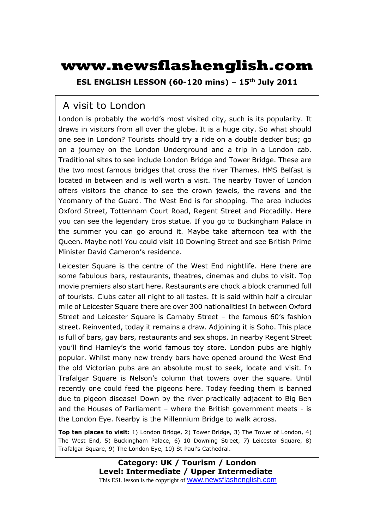# **www.newsflashenglish.com**

**ESL ENGLISH LESSON (60-120 mins) – 15th July 2011** 

## A visit to London

London is probably the world's most visited city, such is its popularity. It draws in visitors from all over the globe. It is a huge city. So what should one see in London? Tourists should try a ride on a double decker bus; go on a journey on the London Underground and a trip in a London cab. Traditional sites to see include London Bridge and Tower Bridge. These are the two most famous bridges that cross the river Thames. HMS Belfast is located in between and is well worth a visit. The nearby Tower of London offers visitors the chance to see the crown jewels, the ravens and the Yeomanry of the Guard. The West End is for shopping. The area includes Oxford Street, Tottenham Court Road, Regent Street and Piccadilly. Here you can see the legendary Eros statue. If you go to Buckingham Palace in the summer you can go around it. Maybe take afternoon tea with the Queen. Maybe not! You could visit 10 Downing Street and see British Prime Minister David Cameron's residence.

Leicester Square is the centre of the West End nightlife. Here there are some fabulous bars, restaurants, theatres, cinemas and clubs to visit. Top movie premiers also start here. Restaurants are chock a block crammed full of tourists. Clubs cater all night to all tastes. It is said within half a circular mile of Leicester Square there are over 300 nationalities! In between Oxford Street and Leicester Square is Carnaby Street – the famous 60's fashion street. Reinvented, today it remains a draw. Adjoining it is Soho. This place is full of bars, gay bars, restaurants and sex shops. In nearby Regent Street you'll find Hamley's the world famous toy store. London pubs are highly popular. Whilst many new trendy bars have opened around the West End the old Victorian pubs are an absolute must to seek, locate and visit. In Trafalgar Square is Nelson's column that towers over the square. Until recently one could feed the pigeons here. Today feeding them is banned due to pigeon disease! Down by the river practically adjacent to Big Ben and the Houses of Parliament – where the British government meets - is the London Eye. Nearby is the Millennium Bridge to walk across.

**Top ten places to visit:** 1) London Bridge, 2) Tower Bridge, 3) The Tower of London, 4) The West End, 5) Buckingham Palace, 6) 10 Downing Street, 7) Leicester Square, 8) Trafalgar Square, 9) The London Eye, 10) St Paul's Cathedral.

> **Category: UK / Tourism / London Level: Intermediate / Upper Intermediate** This ESL lesson is the copyright of www.newsflashenglish.com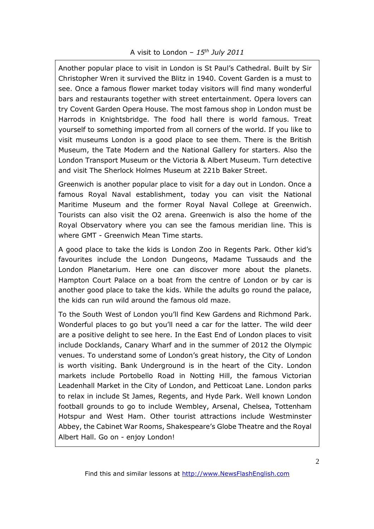Another popular place to visit in London is St Paul's Cathedral. Built by Sir Christopher Wren it survived the Blitz in 1940. Covent Garden is a must to see. Once a famous flower market today visitors will find many wonderful bars and restaurants together with street entertainment. Opera lovers can try Covent Garden Opera House. The most famous shop in London must be Harrods in Knightsbridge. The food hall there is world famous. Treat yourself to something imported from all corners of the world. If you like to visit museums London is a good place to see them. There is the British Museum, the Tate Modern and the National Gallery for starters. Also the London Transport Museum or the Victoria & Albert Museum. Turn detective and visit The Sherlock Holmes Museum at 221b Baker Street.

Greenwich is another popular place to visit for a day out in London. Once a famous Royal Naval establishment, today you can visit the National Maritime Museum and the former Royal Naval College at Greenwich. Tourists can also visit the O2 arena. Greenwich is also the home of the Royal Observatory where you can see the famous meridian line. This is where GMT - Greenwich Mean Time starts.

A good place to take the kids is London Zoo in Regents Park. Other kid's favourites include the London Dungeons, Madame Tussauds and the London Planetarium. Here one can discover more about the planets. Hampton Court Palace on a boat from the centre of London or by car is another good place to take the kids. While the adults go round the palace, the kids can run wild around the famous old maze.

To the South West of London you'll find Kew Gardens and Richmond Park. Wonderful places to go but you'll need a car for the latter. The wild deer are a positive delight to see here. In the East End of London places to visit include Docklands, Canary Wharf and in the summer of 2012 the Olympic venues. To understand some of London's great history, the City of London is worth visiting. Bank Underground is in the heart of the City. London markets include Portobello Road in Notting Hill, the famous Victorian Leadenhall Market in the City of London, and Petticoat Lane. London parks to relax in include St James, Regents, and Hyde Park. Well known London football grounds to go to include Wembley, Arsenal, Chelsea, Tottenham Hotspur and West Ham. Other tourist attractions include Westminster Abbey, the Cabinet War Rooms, Shakespeare's Globe Theatre and the Royal Albert Hall. Go on - enjoy London!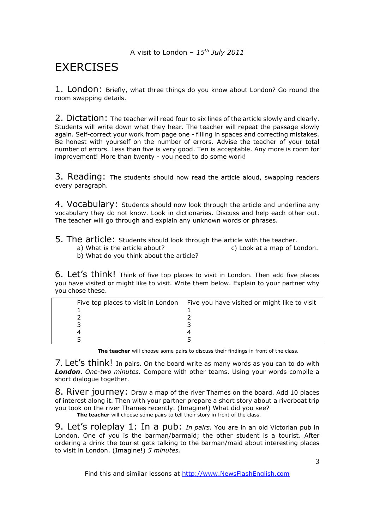# **EXERCISES**

1. London: Briefly, what three things do you know about London? Go round the room swapping details.

2. Dictation: The teacher will read four to six lines of the article slowly and clearly. Students will write down what they hear. The teacher will repeat the passage slowly again. Self-correct your work from page one - filling in spaces and correcting mistakes. Be honest with yourself on the number of errors. Advise the teacher of your total number of errors. Less than five is very good. Ten is acceptable. Any more is room for improvement! More than twenty - you need to do some work!

3. Reading: The students should now read the article aloud, swapping readers every paragraph.

4. Vocabulary: Students should now look through the article and underline any vocabulary they do not know. Look in dictionaries. Discuss and help each other out. The teacher will go through and explain any unknown words or phrases.

- 5. The article: Students should look through the article with the teacher.
	- a) What is the article about? c) Look at a map of London.
		- b) What do you think about the article?

6. Let's think! Think of five top places to visit in London. Then add five places you have visited or might like to visit. Write them below. Explain to your partner why you chose these.

| Five top places to visit in London Five you have visited or might like to visit |
|---------------------------------------------------------------------------------|
|                                                                                 |
|                                                                                 |
|                                                                                 |
|                                                                                 |
|                                                                                 |

**The teacher** will choose some pairs to discuss their findings in front of the class.

7. Let's think! In pairs. On the board write as many words as you can to do with *London*. *One-two minutes.* Compare with other teams. Using your words compile a short dialogue together.

8. River journey: Draw a map of the river Thames on the board. Add 10 places of interest along it. Then with your partner prepare a short story about a riverboat trip you took on the river Thames recently. (Imagine!) What did you see?

The teacher will choose some pairs to tell their story in front of the class.

9. Let's roleplay 1: In a pub: *In pairs.* You are in an old Victorian pub in London. One of you is the barman/barmaid; the other student is a tourist. After ordering a drink the tourist gets talking to the barman/maid about interesting places to visit in London. (Imagine!) *5 minutes.*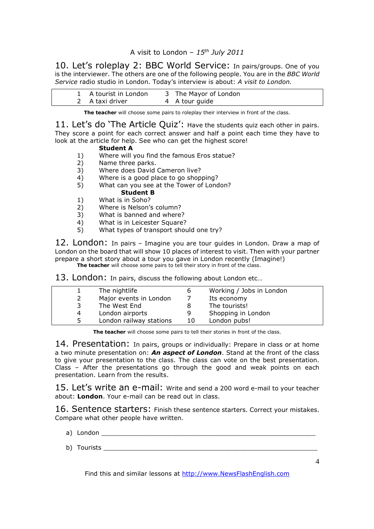10. Let's roleplay 2: BBC World Service: In pairs/groups. One of you is the interviewer. The others are one of the following people. You are in the *BBC World Service* radio studio in London. Today's interview is about: *A visit to London.* 

| 1 A tourist in London | 3 The Mayor of London |
|-----------------------|-----------------------|
| 2 A taxi driver       | 4 A tour guide        |

**The teacher** will choose some pairs to roleplay their interview in front of the class.

11. Let's do 'The Article Quiz': Have the students quiz each other in pairs. They score a point for each correct answer and half a point each time they have to look at the article for help. See who can get the highest score!

#### **Student A**

- 1) Where will you find the famous Eros statue?
- 2) Name three parks.
- 3) Where does David Cameron live?
- 4) Where is a good place to go shopping?<br>5) What can you see at the Tower of Lond
- 5) What can you see at the Tower of London?

## **Student B**

- 1) What is in Soho?
- 2) Where is Nelson's column?
- 3) What is banned and where?
- 4) What is in Leicester Square?
- 5) What types of transport should one try?

12. London: In pairs – Imagine you are tour guides in London. Draw a map of London on the board that will show 10 places of interest to visit. Then with your partner prepare a short story about a tour you gave in London recently (Imagine!) **The teacher** will choose some pairs to tell their story in front of the class.

13. London: In pairs, discuss the following about London etc...

|   | The nightlife           | b  | Working / Jobs in London |
|---|-------------------------|----|--------------------------|
|   | Major events in London  |    | Its economy              |
| 3 | The West End            |    | The tourists!            |
| 4 | London airports         | 9  | Shopping in London       |
| 5 | London railway stations | 10 | London pubs!             |

**The teacher** will choose some pairs to tell their stories in front of the class.

14. Presentation: In pairs, groups or individually: Prepare in class or at home a two minute presentation on: *An aspect of London*. Stand at the front of the class to give your presentation to the class. The class can vote on the best presentation. Class – After the presentations go through the good and weak points on each presentation. Learn from the results.

15. Let's write an e-mail: Write and send a 200 word e-mail to your teacher about: **London**. Your e-mail can be read out in class.

16. Sentence starters: Finish these sentence starters. Correct your mistakes. Compare what other people have written.

- a) London **a**
- b) Tourists \_\_\_\_\_\_\_\_\_\_\_\_\_\_\_\_\_\_\_\_\_\_\_\_\_\_\_\_\_\_\_\_\_\_\_\_\_\_\_\_\_\_\_\_\_\_\_\_\_\_\_\_\_\_\_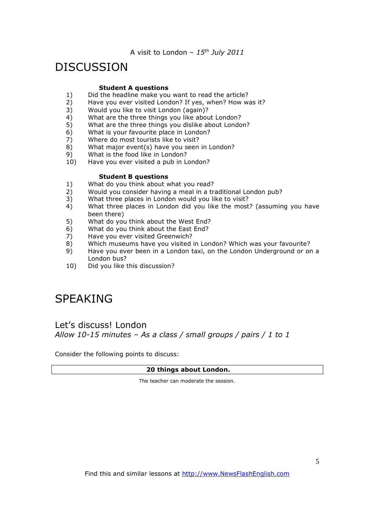# DISCUSSION

#### **Student A questions**

- 1) Did the headline make you want to read the article?<br>2) Have you ever visited London? If yes, when? How w
- Have you ever visited London? If yes, when? How was it?
- 3) Would you like to visit London (again)?
- 4) What are the three things you like about London?
- 5) What are the three things you dislike about London?
- 6) What is your favourite place in London?
- 7) Where do most tourists like to visit?
- 8) What major event(s) have you seen in London?
- 9) What is the food like in London?
- 10) Have you ever visited a pub in London?

#### **Student B questions**

- 1) What do you think about what you read?
- 2) Would you consider having a meal in a traditional London pub?
- 3) What three places in London would you like to visit?
- 4) What three places in London did you like the most? (assuming you have been there)
- 5) What do you think about the West End?
- 6) What do you think about the East End?
- 7) Have you ever visited Greenwich?<br>8) Which museums have you visited
- Which museums have you visited in London? Which was your favourite?
- 9) Have you ever been in a London taxi, on the London Underground or on a London bus?
- 10) Did you like this discussion?

# SPEAKING

### Let's discuss! London *Allow 10-15 minutes – As a class / small groups / pairs / 1 to 1*

Consider the following points to discuss:

#### **20 things about London.**

The teacher can moderate the session.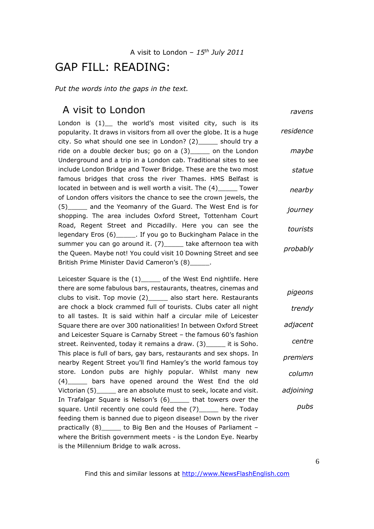## GAP FILL: READING:

*Put the words into the gaps in the text.* 

### A visit to London

*ravens*

London is  $(1)$  the world's most visited city, such is its popularity. It draws in visitors from all over the globe. It is a huge city. So what should one see in London? (2)\_\_\_\_\_ should try a ride on a double decker bus; go on a (3)\_\_\_\_\_ on the London Underground and a trip in a London cab. Traditional sites to see include London Bridge and Tower Bridge. These are the two most famous bridges that cross the river Thames. HMS Belfast is located in between and is well worth a visit. The (4)\_\_\_\_\_ Tower of London offers visitors the chance to see the crown jewels, the (5)\_\_\_\_\_ and the Yeomanry of the Guard. The West End is for shopping. The area includes Oxford Street, Tottenham Court Road, Regent Street and Piccadilly. Here you can see the legendary Eros (6)\_\_\_\_\_. If you go to Buckingham Palace in the summer you can go around it. (7)\_\_\_\_\_ take afternoon tea with the Queen. Maybe not! You could visit 10 Downing Street and see British Prime Minister David Cameron's (8)\_\_\_\_\_. *residence maybe statue nearby journey tourists probably*

Leicester Square is the (1)\_\_\_\_\_ of the West End nightlife. Here there are some fabulous bars, restaurants, theatres, cinemas and clubs to visit. Top movie (2)\_\_\_\_\_ also start here. Restaurants are chock a block crammed full of tourists. Clubs cater all night to all tastes. It is said within half a circular mile of Leicester Square there are over 300 nationalities! In between Oxford Street and Leicester Square is Carnaby Street – the famous 60's fashion street. Reinvented, today it remains a draw. (3) \_\_\_\_\_ it is Soho. This place is full of bars, gay bars, restaurants and sex shops. In nearby Regent Street you'll find Hamley's the world famous toy store. London pubs are highly popular. Whilst many new (4)\_\_\_\_\_ bars have opened around the West End the old Victorian (5) are an absolute must to seek, locate and visit. In Trafalgar Square is Nelson's (6)\_\_\_\_\_ that towers over the square. Until recently one could feed the (7) here. Today feeding them is banned due to pigeon disease! Down by the river practically (8)\_\_\_\_\_ to Big Ben and the Houses of Parliament – where the British government meets - is the London Eye. Nearby is the Millennium Bridge to walk across. *pigeons trendy adjacent centre premiers column adjoining pubs*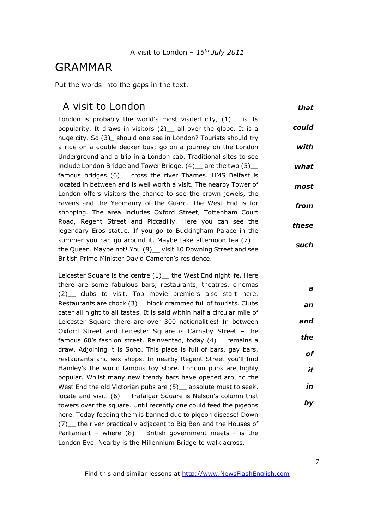## GRAMMAR

Put the words into the gaps in the text.

## A visit to London

*that*

London is probably the world's most visited city,  $(1)$  is its popularity. It draws in visitors (2)\_\_ all over the globe. It is a huge city. So (3) should one see in London? Tourists should try a ride on a double decker bus; go on a journey on the London Underground and a trip in a London cab. Traditional sites to see include London Bridge and Tower Bridge. (4) \_ are the two (5) \_ famous bridges (6) \_ cross the river Thames. HMS Belfast is located in between and is well worth a visit. The nearby Tower of London offers visitors the chance to see the crown jewels, the ravens and the Yeomanry of the Guard. The West End is for shopping. The area includes Oxford Street, Tottenham Court Road, Regent Street and Piccadilly. Here you can see the legendary Eros statue. If you go to Buckingham Palace in the summer you can go around it. Maybe take afternoon tea (7)\_\_ the Queen. Maybe not! You (8) visit 10 Downing Street and see British Prime Minister David Cameron's residence. *could with what most from these such*

Leicester Square is the centre (1) the West End nightlife. Here there are some fabulous bars, restaurants, theatres, cinemas (2) clubs to visit. Top movie premiers also start here. Restaurants are chock (3) block crammed full of tourists. Clubs cater all night to all tastes. It is said within half a circular mile of Leicester Square there are over 300 nationalities! In between Oxford Street and Leicester Square is Carnaby Street – the famous 60's fashion street. Reinvented, today (4) remains a draw. Adjoining it is Soho. This place is full of bars, gay bars, restaurants and sex shops. In nearby Regent Street you'll find Hamley's the world famous toy store. London pubs are highly popular. Whilst many new trendy bars have opened around the West End the old Victorian pubs are (5) absolute must to seek, locate and visit. (6) \_ Trafalgar Square is Nelson's column that towers over the square. Until recently one could feed the pigeons here. Today feeding them is banned due to pigeon disease! Down (7)\_\_ the river practically adjacent to Big Ben and the Houses of Parliament – where  $(8)$  British government meets - is the London Eye. Nearby is the Millennium Bridge to walk across. *an and the of in by*

*a*

*it*